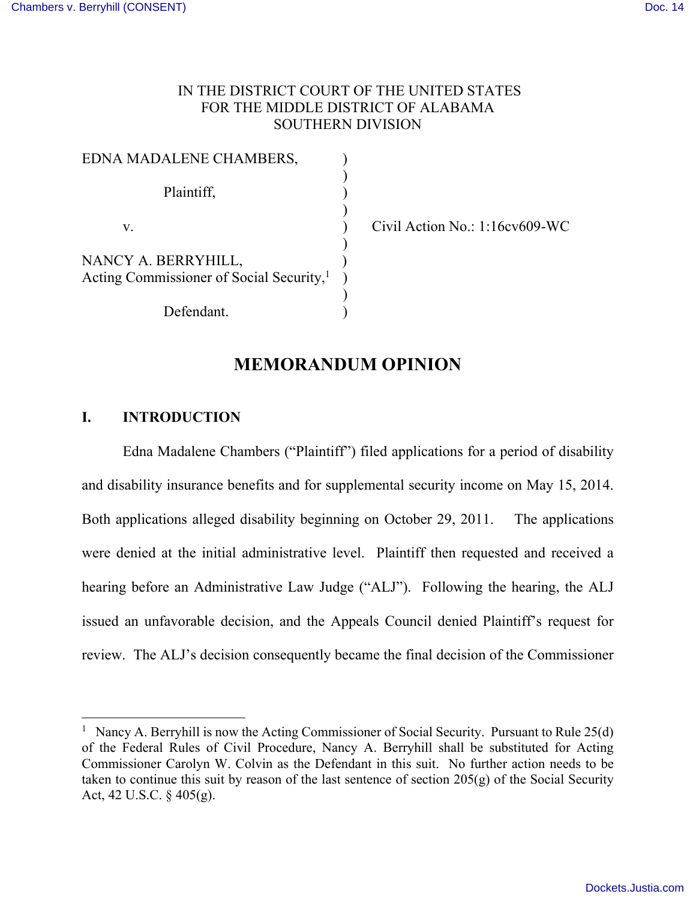# IN THE DISTRICT COURT OF THE UNITED STATES FOR THE MIDDLE DISTRICT OF ALABAMA SOUTHERN DIVISION

| EDNA MADALENE CHAMBERS,                              |  |
|------------------------------------------------------|--|
|                                                      |  |
| Plaintiff,                                           |  |
|                                                      |  |
| V.                                                   |  |
|                                                      |  |
| NANCY A. BERRYHILL,                                  |  |
| Acting Commissioner of Social Security, <sup>1</sup> |  |
|                                                      |  |
| Defendant.                                           |  |

Civil Action No.:  $1:16$ cv $609$ -WC

# **MEMORANDUM OPINION**

## **I. INTRODUCTION**

 $\overline{a}$ 

Edna Madalene Chambers ("Plaintiff") filed applications for a period of disability and disability insurance benefits and for supplemental security income on May 15, 2014. Both applications alleged disability beginning on October 29, 2011. The applications were denied at the initial administrative level. Plaintiff then requested and received a hearing before an Administrative Law Judge ("ALJ"). Following the hearing, the ALJ issued an unfavorable decision, and the Appeals Council denied Plaintiff's request for review. The ALJ's decision consequently became the final decision of the Commissioner

<sup>&</sup>lt;sup>1</sup> Nancy A. Berryhill is now the Acting Commissioner of Social Security. Pursuant to Rule  $25(d)$ of the Federal Rules of Civil Procedure, Nancy A. Berryhill shall be substituted for Acting Commissioner Carolyn W. Colvin as the Defendant in this suit. No further action needs to be taken to continue this suit by reason of the last sentence of section 205(g) of the Social Security Act, 42 U.S.C. § 405(g).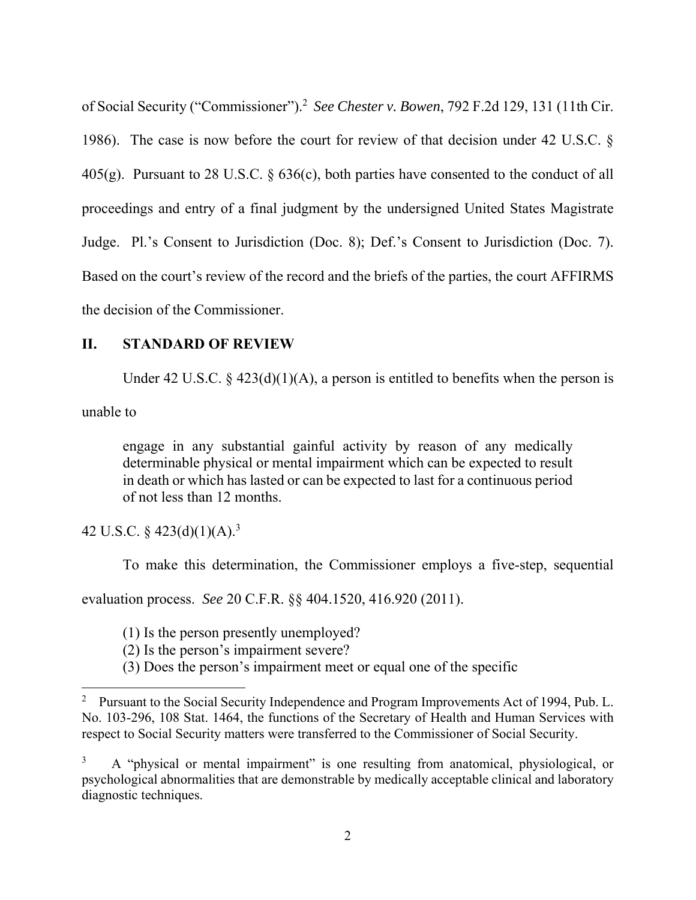of Social Security ("Commissioner").<sup>2</sup> *See Chester v. Bowen*, 792 F.2d 129, 131 (11th Cir. 1986). The case is now before the court for review of that decision under 42 U.S.C. § 405(g). Pursuant to 28 U.S.C. § 636(c), both parties have consented to the conduct of all proceedings and entry of a final judgment by the undersigned United States Magistrate Judge. Pl.'s Consent to Jurisdiction (Doc. 8); Def.'s Consent to Jurisdiction (Doc. 7). Based on the court's review of the record and the briefs of the parties, the court AFFIRMS the decision of the Commissioner.

## **II. STANDARD OF REVIEW**

Under 42 U.S.C.  $\frac{2}{3}$  423(d)(1)(A), a person is entitled to benefits when the person is

unable to

 $\overline{a}$ 

engage in any substantial gainful activity by reason of any medically determinable physical or mental impairment which can be expected to result in death or which has lasted or can be expected to last for a continuous period of not less than 12 months.

42 U.S.C. §  $423(d)(1)(A).<sup>3</sup>$ 

To make this determination, the Commissioner employs a five-step, sequential

evaluation process. *See* 20 C.F.R. §§ 404.1520, 416.920 (2011).

(1) Is the person presently unemployed?

(2) Is the person's impairment severe?

(3) Does the person's impairment meet or equal one of the specific

<sup>&</sup>lt;sup>2</sup> Pursuant to the Social Security Independence and Program Improvements Act of 1994, Pub. L. No. 103-296, 108 Stat. 1464, the functions of the Secretary of Health and Human Services with respect to Social Security matters were transferred to the Commissioner of Social Security.

<sup>3</sup> A "physical or mental impairment" is one resulting from anatomical, physiological, or psychological abnormalities that are demonstrable by medically acceptable clinical and laboratory diagnostic techniques.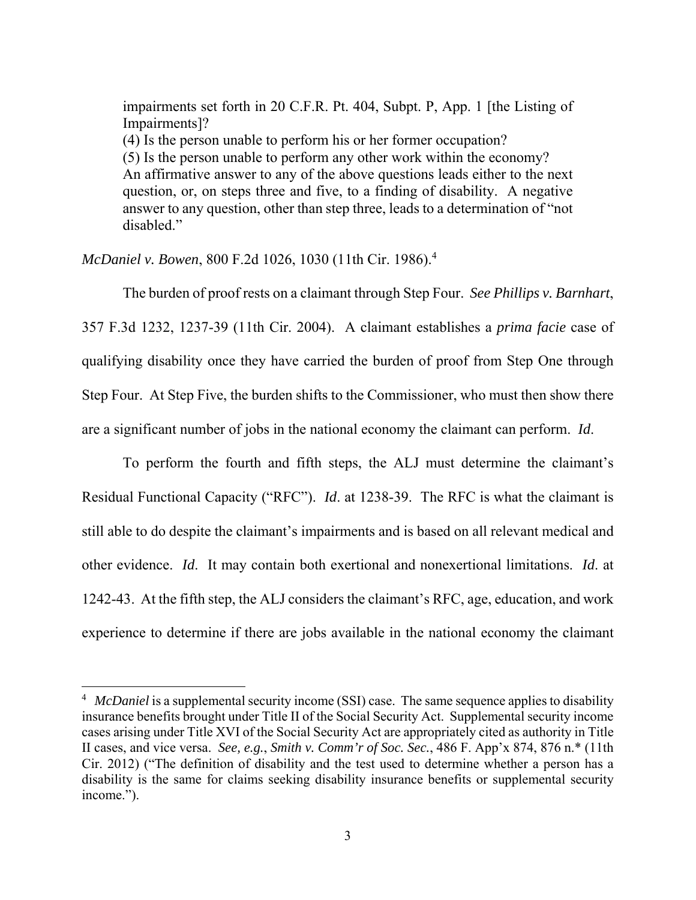impairments set forth in 20 C.F.R. Pt. 404, Subpt. P, App. 1 [the Listing of Impairments]? (4) Is the person unable to perform his or her former occupation? (5) Is the person unable to perform any other work within the economy? An affirmative answer to any of the above questions leads either to the next question, or, on steps three and five, to a finding of disability. A negative answer to any question, other than step three, leads to a determination of "not disabled."

*McDaniel v. Bowen*, 800 F.2d 1026, 1030 (11th Cir. 1986).<sup>4</sup>

 $\overline{a}$ 

 The burden of proof rests on a claimant through Step Four. *See Phillips v. Barnhart*, 357 F.3d 1232, 1237-39 (11th Cir. 2004). A claimant establishes a *prima facie* case of qualifying disability once they have carried the burden of proof from Step One through Step Four. At Step Five, the burden shifts to the Commissioner, who must then show there are a significant number of jobs in the national economy the claimant can perform. *Id*.

 To perform the fourth and fifth steps, the ALJ must determine the claimant's Residual Functional Capacity ("RFC"). *Id*. at 1238-39. The RFC is what the claimant is still able to do despite the claimant's impairments and is based on all relevant medical and other evidence. *Id*. It may contain both exertional and nonexertional limitations. *Id*. at 1242-43. At the fifth step, the ALJ considers the claimant's RFC, age, education, and work experience to determine if there are jobs available in the national economy the claimant

<sup>&</sup>lt;sup>4</sup> McDaniel is a supplemental security income (SSI) case. The same sequence applies to disability insurance benefits brought under Title II of the Social Security Act. Supplemental security income cases arising under Title XVI of the Social Security Act are appropriately cited as authority in Title II cases, and vice versa. *See, e.g.*, *Smith v. Comm'r of Soc. Sec.*, 486 F. App'x 874, 876 n.\* (11th Cir. 2012) ("The definition of disability and the test used to determine whether a person has a disability is the same for claims seeking disability insurance benefits or supplemental security income.").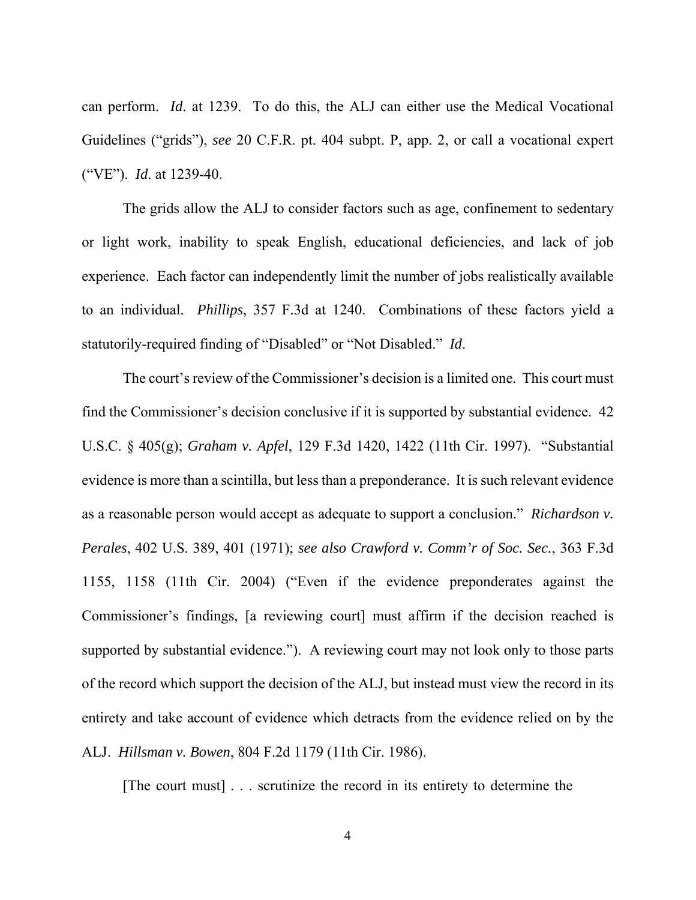can perform. *Id*. at 1239. To do this, the ALJ can either use the Medical Vocational Guidelines ("grids"), *see* 20 C.F.R. pt. 404 subpt. P, app. 2, or call a vocational expert ("VE"). *Id*. at 1239-40.

 The grids allow the ALJ to consider factors such as age, confinement to sedentary or light work, inability to speak English, educational deficiencies, and lack of job experience. Each factor can independently limit the number of jobs realistically available to an individual. *Phillips*, 357 F.3d at 1240. Combinations of these factors yield a statutorily-required finding of "Disabled" or "Not Disabled." *Id*.

 The court's review of the Commissioner's decision is a limited one. This court must find the Commissioner's decision conclusive if it is supported by substantial evidence. 42 U.S.C. § 405(g); *Graham v. Apfel*, 129 F.3d 1420, 1422 (11th Cir. 1997). "Substantial evidence is more than a scintilla, but less than a preponderance. It is such relevant evidence as a reasonable person would accept as adequate to support a conclusion." *Richardson v. Perales*, 402 U.S. 389, 401 (1971); *see also Crawford v. Comm'r of Soc. Sec.*, 363 F.3d 1155, 1158 (11th Cir. 2004) ("Even if the evidence preponderates against the Commissioner's findings, [a reviewing court] must affirm if the decision reached is supported by substantial evidence."). A reviewing court may not look only to those parts of the record which support the decision of the ALJ, but instead must view the record in its entirety and take account of evidence which detracts from the evidence relied on by the ALJ. *Hillsman v. Bowen*, 804 F.2d 1179 (11th Cir. 1986).

[The court must] . . . scrutinize the record in its entirety to determine the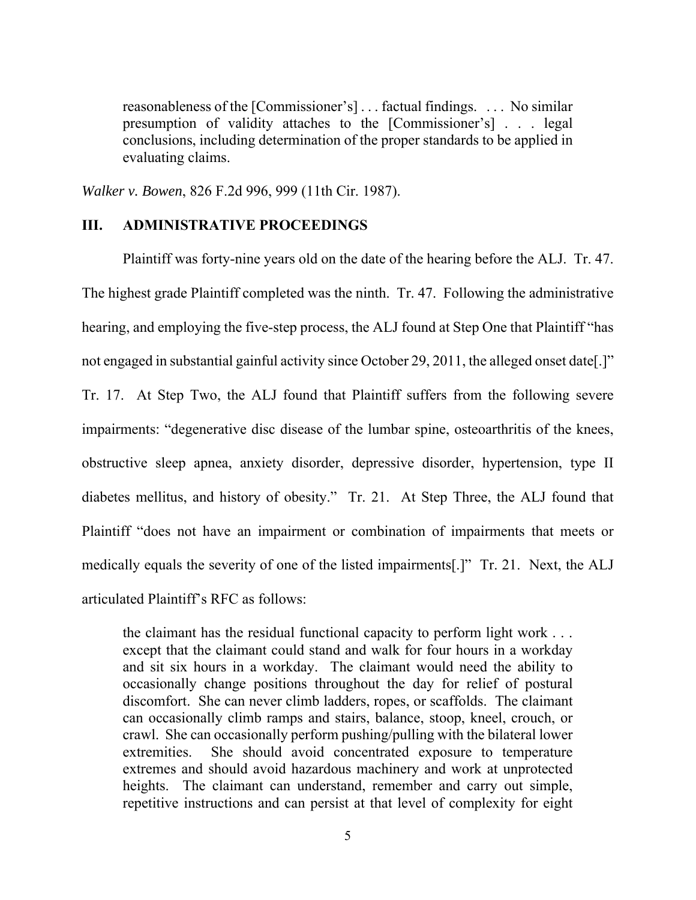reasonableness of the [Commissioner's] . . . factual findings. . . . No similar presumption of validity attaches to the [Commissioner's] . . . legal conclusions, including determination of the proper standards to be applied in evaluating claims.

*Walker v. Bowen*, 826 F.2d 996, 999 (11th Cir. 1987).

#### **III. ADMINISTRATIVE PROCEEDINGS**

Plaintiff was forty-nine years old on the date of the hearing before the ALJ. Tr. 47. The highest grade Plaintiff completed was the ninth. Tr. 47. Following the administrative hearing, and employing the five-step process, the ALJ found at Step One that Plaintiff "has not engaged in substantial gainful activity since October 29, 2011, the alleged onset date[.]" Tr. 17. At Step Two, the ALJ found that Plaintiff suffers from the following severe impairments: "degenerative disc disease of the lumbar spine, osteoarthritis of the knees, obstructive sleep apnea, anxiety disorder, depressive disorder, hypertension, type II diabetes mellitus, and history of obesity." Tr. 21. At Step Three, the ALJ found that Plaintiff "does not have an impairment or combination of impairments that meets or medically equals the severity of one of the listed impairments[.]" Tr. 21. Next, the ALJ articulated Plaintiff's RFC as follows:

the claimant has the residual functional capacity to perform light work . . . except that the claimant could stand and walk for four hours in a workday and sit six hours in a workday. The claimant would need the ability to occasionally change positions throughout the day for relief of postural discomfort. She can never climb ladders, ropes, or scaffolds. The claimant can occasionally climb ramps and stairs, balance, stoop, kneel, crouch, or crawl. She can occasionally perform pushing/pulling with the bilateral lower extremities. She should avoid concentrated exposure to temperature extremes and should avoid hazardous machinery and work at unprotected heights. The claimant can understand, remember and carry out simple, repetitive instructions and can persist at that level of complexity for eight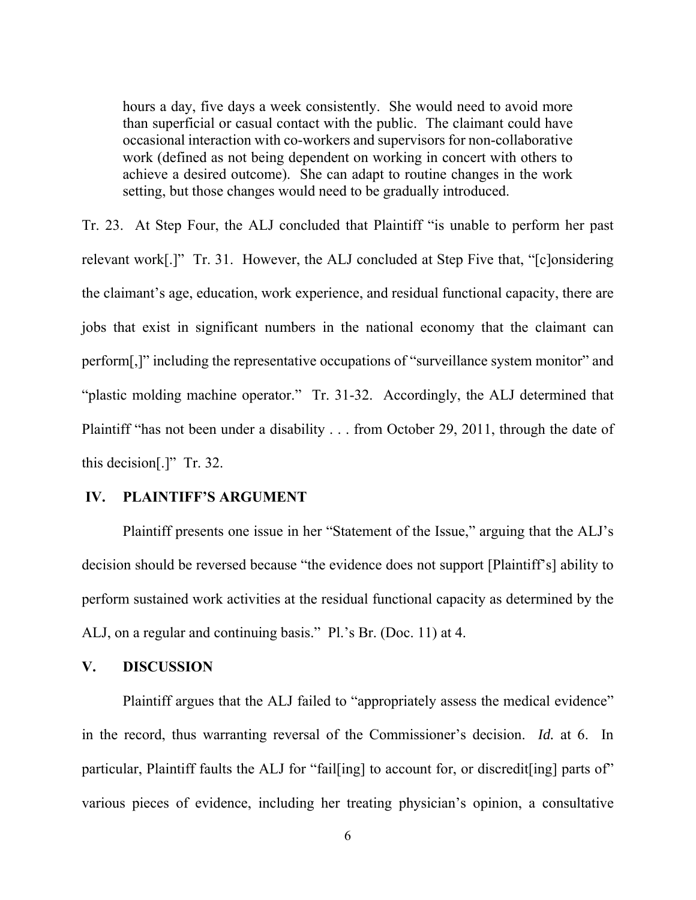hours a day, five days a week consistently. She would need to avoid more than superficial or casual contact with the public. The claimant could have occasional interaction with co-workers and supervisors for non-collaborative work (defined as not being dependent on working in concert with others to achieve a desired outcome). She can adapt to routine changes in the work setting, but those changes would need to be gradually introduced.

Tr. 23. At Step Four, the ALJ concluded that Plaintiff "is unable to perform her past relevant work[.]" Tr. 31. However, the ALJ concluded at Step Five that, "[c]onsidering the claimant's age, education, work experience, and residual functional capacity, there are jobs that exist in significant numbers in the national economy that the claimant can perform[,]" including the representative occupations of "surveillance system monitor" and "plastic molding machine operator." Tr. 31-32. Accordingly, the ALJ determined that Plaintiff "has not been under a disability . . . from October 29, 2011, through the date of this decision[.]" Tr. 32.

#### **IV. PLAINTIFF'S ARGUMENT**

 Plaintiff presents one issue in her "Statement of the Issue," arguing that the ALJ's decision should be reversed because "the evidence does not support [Plaintiff's] ability to perform sustained work activities at the residual functional capacity as determined by the ALJ, on a regular and continuing basis." Pl.'s Br. (Doc. 11) at 4.

## **V. DISCUSSION**

Plaintiff argues that the ALJ failed to "appropriately assess the medical evidence" in the record, thus warranting reversal of the Commissioner's decision. *Id.* at 6. In particular, Plaintiff faults the ALJ for "fail[ing] to account for, or discredit[ing] parts of" various pieces of evidence, including her treating physician's opinion, a consultative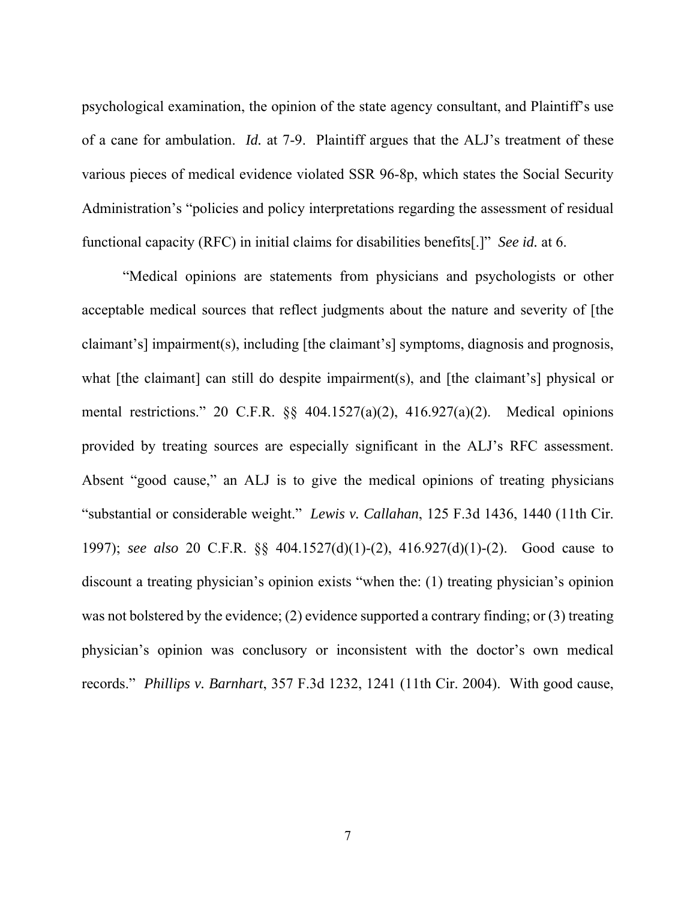psychological examination, the opinion of the state agency consultant, and Plaintiff's use of a cane for ambulation. *Id.* at 7-9. Plaintiff argues that the ALJ's treatment of these various pieces of medical evidence violated SSR 96-8p, which states the Social Security Administration's "policies and policy interpretations regarding the assessment of residual functional capacity (RFC) in initial claims for disabilities benefits[.]" *See id.* at 6.

"Medical opinions are statements from physicians and psychologists or other acceptable medical sources that reflect judgments about the nature and severity of [the claimant's] impairment(s), including [the claimant's] symptoms, diagnosis and prognosis, what [the claimant] can still do despite impairment(s), and [the claimant's] physical or mental restrictions." 20 C.F.R. §§ 404.1527(a)(2), 416.927(a)(2). Medical opinions provided by treating sources are especially significant in the ALJ's RFC assessment. Absent "good cause," an ALJ is to give the medical opinions of treating physicians "substantial or considerable weight." *Lewis v. Callahan*, 125 F.3d 1436, 1440 (11th Cir. 1997); *see also* 20 C.F.R. §§ 404.1527(d)(1)-(2), 416.927(d)(1)-(2). Good cause to discount a treating physician's opinion exists "when the: (1) treating physician's opinion was not bolstered by the evidence; (2) evidence supported a contrary finding; or (3) treating physician's opinion was conclusory or inconsistent with the doctor's own medical records." *Phillips v. Barnhart*, 357 F.3d 1232, 1241 (11th Cir. 2004). With good cause,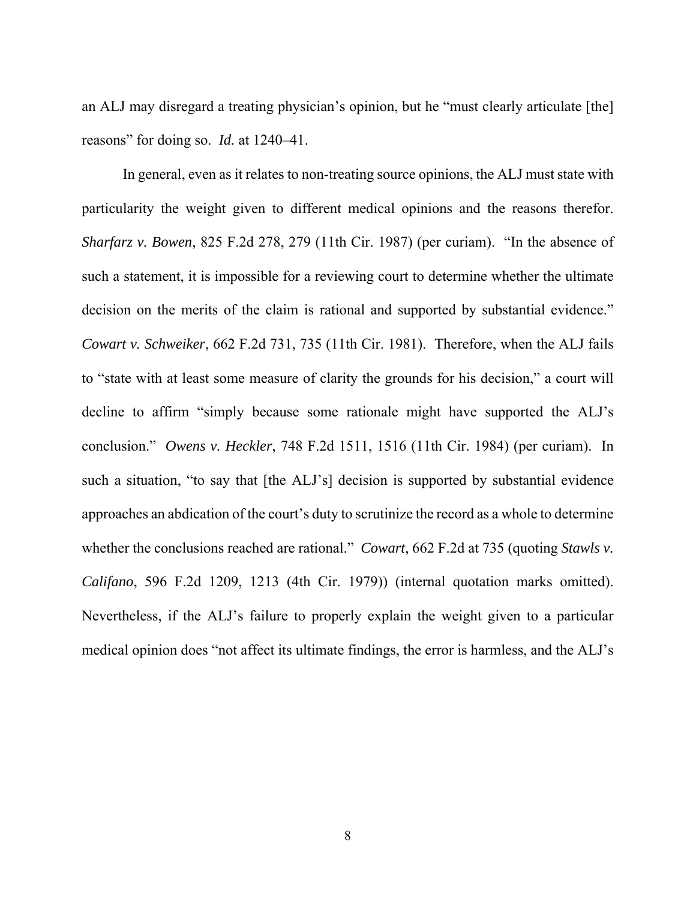an ALJ may disregard a treating physician's opinion, but he "must clearly articulate [the] reasons" for doing so. *Id.* at 1240–41.

In general, even as it relates to non-treating source opinions, the ALJ must state with particularity the weight given to different medical opinions and the reasons therefor. *Sharfarz v. Bowen*, 825 F.2d 278, 279 (11th Cir. 1987) (per curiam). "In the absence of such a statement, it is impossible for a reviewing court to determine whether the ultimate decision on the merits of the claim is rational and supported by substantial evidence." *Cowart v. Schweiker*, 662 F.2d 731, 735 (11th Cir. 1981). Therefore, when the ALJ fails to "state with at least some measure of clarity the grounds for his decision," a court will decline to affirm "simply because some rationale might have supported the ALJ's conclusion." *Owens v. Heckler*, 748 F.2d 1511, 1516 (11th Cir. 1984) (per curiam). In such a situation, "to say that [the ALJ's] decision is supported by substantial evidence approaches an abdication of the court's duty to scrutinize the record as a whole to determine whether the conclusions reached are rational." *Cowart*, 662 F.2d at 735 (quoting *Stawls v. Califano*, 596 F.2d 1209, 1213 (4th Cir. 1979)) (internal quotation marks omitted). Nevertheless, if the ALJ's failure to properly explain the weight given to a particular medical opinion does "not affect its ultimate findings, the error is harmless, and the ALJ's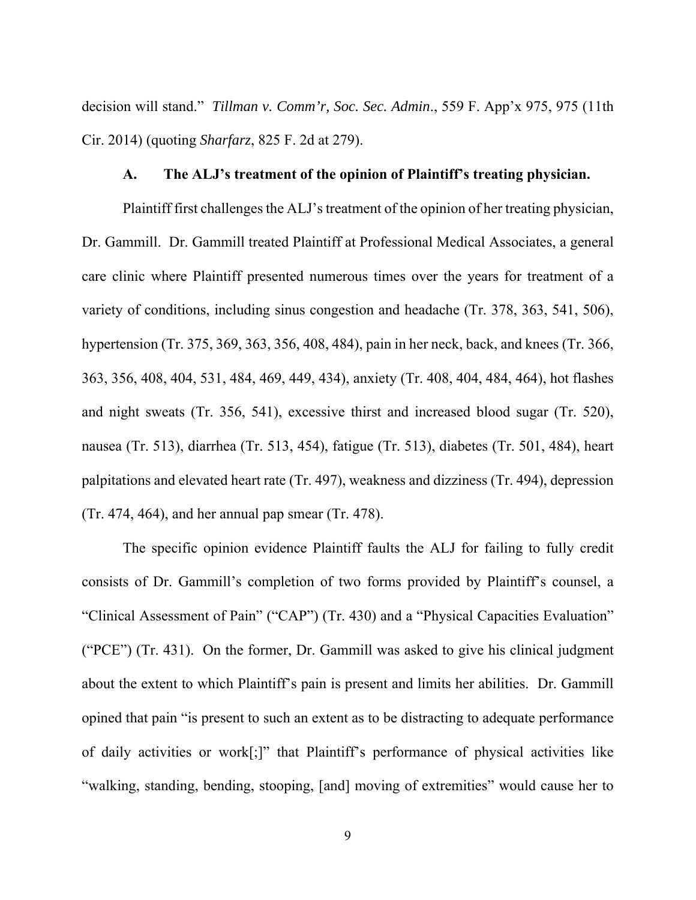decision will stand." *Tillman v. Comm'r, Soc. Sec. Admin*., 559 F. App'x 975, 975 (11th Cir. 2014) (quoting *Sharfarz*, 825 F. 2d at 279).

#### **A. The ALJ's treatment of the opinion of Plaintiff's treating physician.**

Plaintiff first challenges the ALJ's treatment of the opinion of her treating physician, Dr. Gammill. Dr. Gammill treated Plaintiff at Professional Medical Associates, a general care clinic where Plaintiff presented numerous times over the years for treatment of a variety of conditions, including sinus congestion and headache (Tr. 378, 363, 541, 506), hypertension (Tr. 375, 369, 363, 356, 408, 484), pain in her neck, back, and knees (Tr. 366, 363, 356, 408, 404, 531, 484, 469, 449, 434), anxiety (Tr. 408, 404, 484, 464), hot flashes and night sweats (Tr. 356, 541), excessive thirst and increased blood sugar (Tr. 520), nausea (Tr. 513), diarrhea (Tr. 513, 454), fatigue (Tr. 513), diabetes (Tr. 501, 484), heart palpitations and elevated heart rate (Tr. 497), weakness and dizziness (Tr. 494), depression (Tr. 474, 464), and her annual pap smear (Tr. 478).

The specific opinion evidence Plaintiff faults the ALJ for failing to fully credit consists of Dr. Gammill's completion of two forms provided by Plaintiff's counsel, a "Clinical Assessment of Pain" ("CAP") (Tr. 430) and a "Physical Capacities Evaluation" ("PCE") (Tr. 431). On the former, Dr. Gammill was asked to give his clinical judgment about the extent to which Plaintiff's pain is present and limits her abilities. Dr. Gammill opined that pain "is present to such an extent as to be distracting to adequate performance of daily activities or work[;]" that Plaintiff's performance of physical activities like "walking, standing, bending, stooping, [and] moving of extremities" would cause her to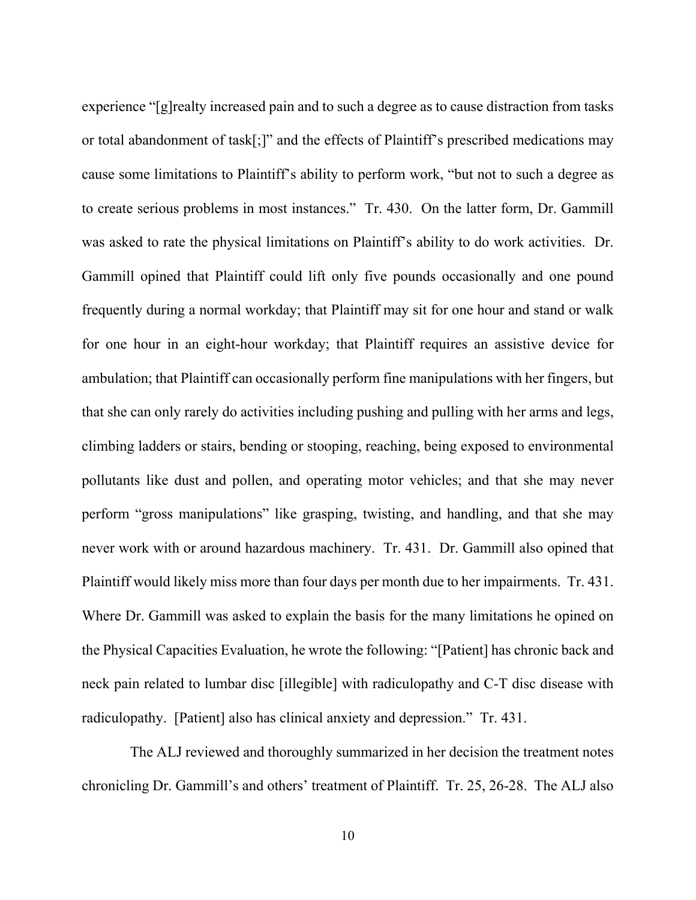experience "[g]realty increased pain and to such a degree as to cause distraction from tasks or total abandonment of task[;]" and the effects of Plaintiff's prescribed medications may cause some limitations to Plaintiff's ability to perform work, "but not to such a degree as to create serious problems in most instances." Tr. 430. On the latter form, Dr. Gammill was asked to rate the physical limitations on Plaintiff's ability to do work activities. Dr. Gammill opined that Plaintiff could lift only five pounds occasionally and one pound frequently during a normal workday; that Plaintiff may sit for one hour and stand or walk for one hour in an eight-hour workday; that Plaintiff requires an assistive device for ambulation; that Plaintiff can occasionally perform fine manipulations with her fingers, but that she can only rarely do activities including pushing and pulling with her arms and legs, climbing ladders or stairs, bending or stooping, reaching, being exposed to environmental pollutants like dust and pollen, and operating motor vehicles; and that she may never perform "gross manipulations" like grasping, twisting, and handling, and that she may never work with or around hazardous machinery. Tr. 431. Dr. Gammill also opined that Plaintiff would likely miss more than four days per month due to her impairments. Tr. 431. Where Dr. Gammill was asked to explain the basis for the many limitations he opined on the Physical Capacities Evaluation, he wrote the following: "[Patient] has chronic back and neck pain related to lumbar disc [illegible] with radiculopathy and C-T disc disease with radiculopathy. [Patient] also has clinical anxiety and depression." Tr. 431.

 The ALJ reviewed and thoroughly summarized in her decision the treatment notes chronicling Dr. Gammill's and others' treatment of Plaintiff. Tr. 25, 26-28. The ALJ also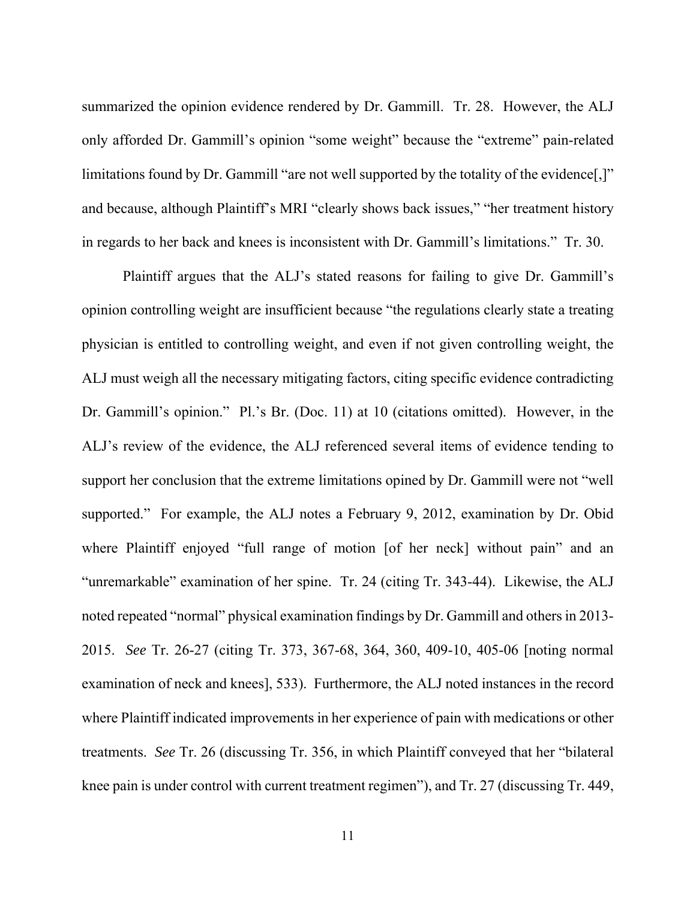summarized the opinion evidence rendered by Dr. Gammill. Tr. 28. However, the ALJ only afforded Dr. Gammill's opinion "some weight" because the "extreme" pain-related limitations found by Dr. Gammill "are not well supported by the totality of the evidence[,]" and because, although Plaintiff's MRI "clearly shows back issues," "her treatment history in regards to her back and knees is inconsistent with Dr. Gammill's limitations." Tr. 30.

Plaintiff argues that the ALJ's stated reasons for failing to give Dr. Gammill's opinion controlling weight are insufficient because "the regulations clearly state a treating physician is entitled to controlling weight, and even if not given controlling weight, the ALJ must weigh all the necessary mitigating factors, citing specific evidence contradicting Dr. Gammill's opinion." Pl.'s Br. (Doc. 11) at 10 (citations omitted). However, in the ALJ's review of the evidence, the ALJ referenced several items of evidence tending to support her conclusion that the extreme limitations opined by Dr. Gammill were not "well supported." For example, the ALJ notes a February 9, 2012, examination by Dr. Obid where Plaintiff enjoyed "full range of motion [of her neck] without pain" and an "unremarkable" examination of her spine. Tr. 24 (citing Tr. 343-44). Likewise, the ALJ noted repeated "normal" physical examination findings by Dr. Gammill and others in 2013- 2015. *See* Tr. 26-27 (citing Tr. 373, 367-68, 364, 360, 409-10, 405-06 [noting normal examination of neck and knees], 533). Furthermore, the ALJ noted instances in the record where Plaintiff indicated improvements in her experience of pain with medications or other treatments. *See* Tr. 26 (discussing Tr. 356, in which Plaintiff conveyed that her "bilateral knee pain is under control with current treatment regimen"), and Tr. 27 (discussing Tr. 449,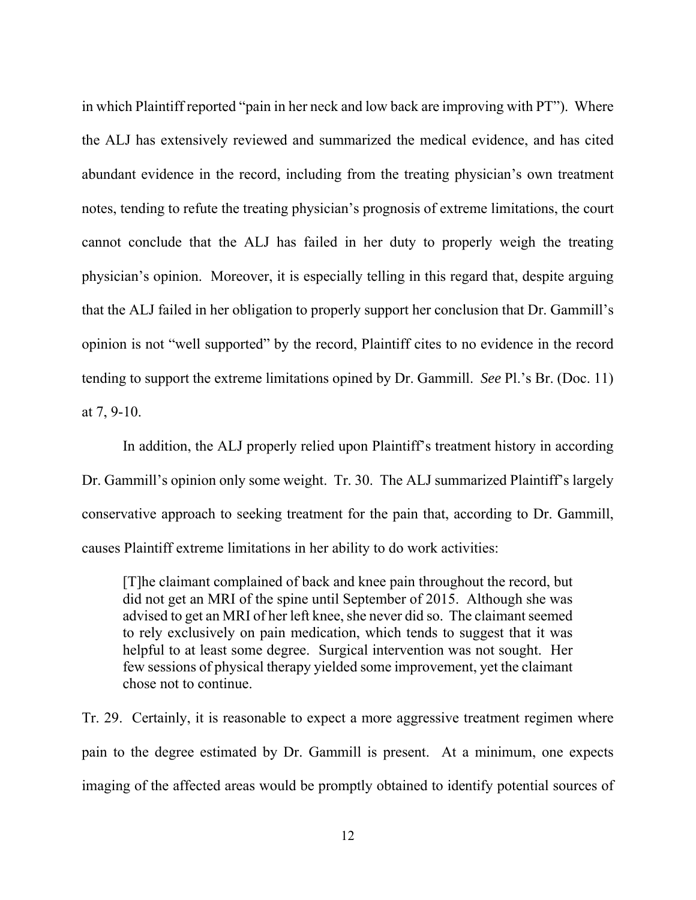in which Plaintiff reported "pain in her neck and low back are improving with PT"). Where the ALJ has extensively reviewed and summarized the medical evidence, and has cited abundant evidence in the record, including from the treating physician's own treatment notes, tending to refute the treating physician's prognosis of extreme limitations, the court cannot conclude that the ALJ has failed in her duty to properly weigh the treating physician's opinion. Moreover, it is especially telling in this regard that, despite arguing that the ALJ failed in her obligation to properly support her conclusion that Dr. Gammill's opinion is not "well supported" by the record, Plaintiff cites to no evidence in the record tending to support the extreme limitations opined by Dr. Gammill. *See* Pl.'s Br. (Doc. 11) at 7, 9-10.

In addition, the ALJ properly relied upon Plaintiff's treatment history in according Dr. Gammill's opinion only some weight. Tr. 30. The ALJ summarized Plaintiff's largely conservative approach to seeking treatment for the pain that, according to Dr. Gammill, causes Plaintiff extreme limitations in her ability to do work activities:

[T]he claimant complained of back and knee pain throughout the record, but did not get an MRI of the spine until September of 2015. Although she was advised to get an MRI of her left knee, she never did so. The claimant seemed to rely exclusively on pain medication, which tends to suggest that it was helpful to at least some degree. Surgical intervention was not sought. Her few sessions of physical therapy yielded some improvement, yet the claimant chose not to continue.

Tr. 29. Certainly, it is reasonable to expect a more aggressive treatment regimen where pain to the degree estimated by Dr. Gammill is present. At a minimum, one expects imaging of the affected areas would be promptly obtained to identify potential sources of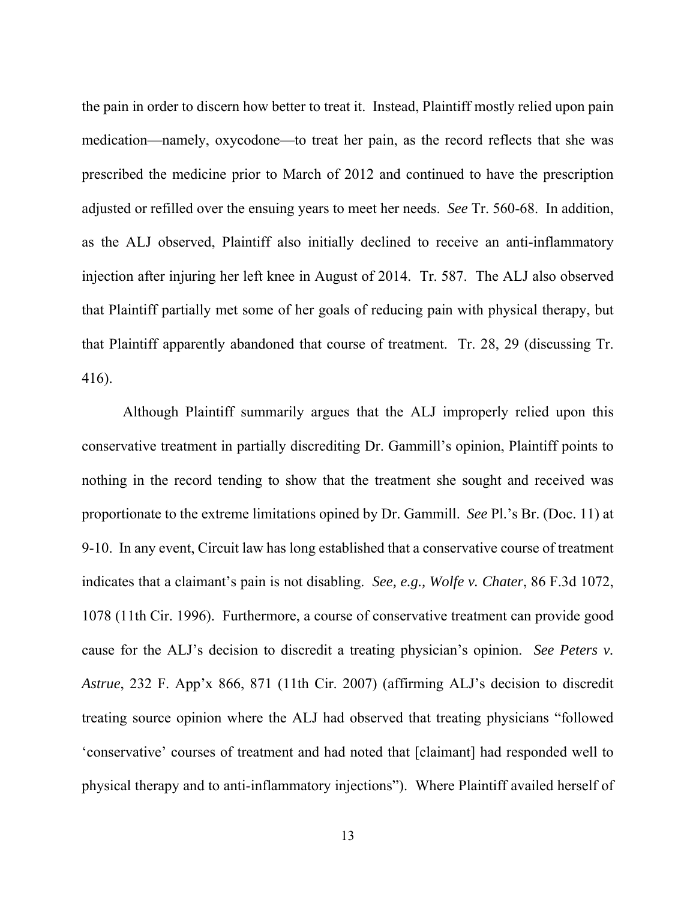the pain in order to discern how better to treat it. Instead, Plaintiff mostly relied upon pain medication—namely, oxycodone—to treat her pain, as the record reflects that she was prescribed the medicine prior to March of 2012 and continued to have the prescription adjusted or refilled over the ensuing years to meet her needs. *See* Tr. 560-68. In addition, as the ALJ observed, Plaintiff also initially declined to receive an anti-inflammatory injection after injuring her left knee in August of 2014. Tr. 587. The ALJ also observed that Plaintiff partially met some of her goals of reducing pain with physical therapy, but that Plaintiff apparently abandoned that course of treatment. Tr. 28, 29 (discussing Tr. 416).

 Although Plaintiff summarily argues that the ALJ improperly relied upon this conservative treatment in partially discrediting Dr. Gammill's opinion, Plaintiff points to nothing in the record tending to show that the treatment she sought and received was proportionate to the extreme limitations opined by Dr. Gammill. *See* Pl.'s Br. (Doc. 11) at 9-10. In any event, Circuit law has long established that a conservative course of treatment indicates that a claimant's pain is not disabling. *See, e.g., Wolfe v. Chater*, 86 F.3d 1072, 1078 (11th Cir. 1996). Furthermore, a course of conservative treatment can provide good cause for the ALJ's decision to discredit a treating physician's opinion. *See Peters v. Astrue*, 232 F. App'x 866, 871 (11th Cir. 2007) (affirming ALJ's decision to discredit treating source opinion where the ALJ had observed that treating physicians "followed 'conservative' courses of treatment and had noted that [claimant] had responded well to physical therapy and to anti-inflammatory injections"). Where Plaintiff availed herself of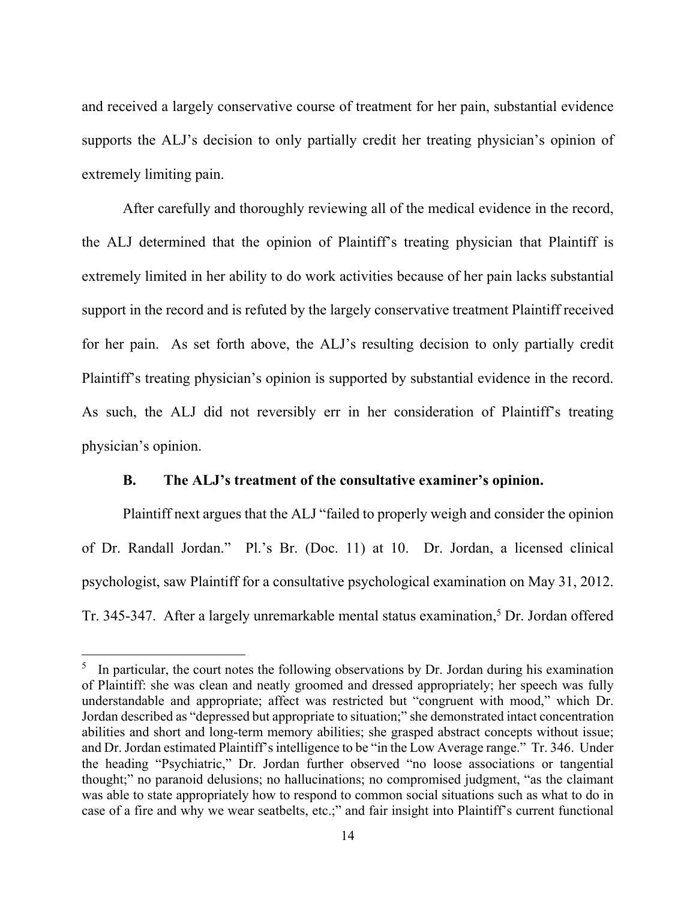and received a largely conservative course of treatment for her pain, substantial evidence supports the ALJ's decision to only partially credit her treating physician's opinion of extremely limiting pain.

 After carefully and thoroughly reviewing all of the medical evidence in the record, the ALJ determined that the opinion of Plaintiff's treating physician that Plaintiff is extremely limited in her ability to do work activities because of her pain lacks substantial support in the record and is refuted by the largely conservative treatment Plaintiff received for her pain. As set forth above, the ALJ's resulting decision to only partially credit Plaintiff's treating physician's opinion is supported by substantial evidence in the record. As such, the ALJ did not reversibly err in her consideration of Plaintiff's treating physician's opinion.

## **B. The ALJ's treatment of the consultative examiner's opinion.**

 Plaintiff next argues that the ALJ "failed to properly weigh and consider the opinion of Dr. Randall Jordan." Pl.'s Br. (Doc. 11) at 10. Dr. Jordan, a licensed clinical psychologist, saw Plaintiff for a consultative psychological examination on May 31, 2012. Tr. 345-347. After a largely unremarkable mental status examination,<sup>5</sup> Dr. Jordan offered

 $\overline{a}$ 

 $<sup>5</sup>$  In particular, the court notes the following observations by Dr. Jordan during his examination</sup> of Plaintiff: she was clean and neatly groomed and dressed appropriately; her speech was fully understandable and appropriate; affect was restricted but "congruent with mood," which Dr. Jordan described as "depressed but appropriate to situation;" she demonstrated intact concentration abilities and short and long-term memory abilities; she grasped abstract concepts without issue; and Dr. Jordan estimated Plaintiff's intelligence to be "in the Low Average range." Tr. 346. Under the heading "Psychiatric," Dr. Jordan further observed "no loose associations or tangential thought;" no paranoid delusions; no hallucinations; no compromised judgment, "as the claimant was able to state appropriately how to respond to common social situations such as what to do in case of a fire and why we wear seatbelts, etc.;" and fair insight into Plaintiff's current functional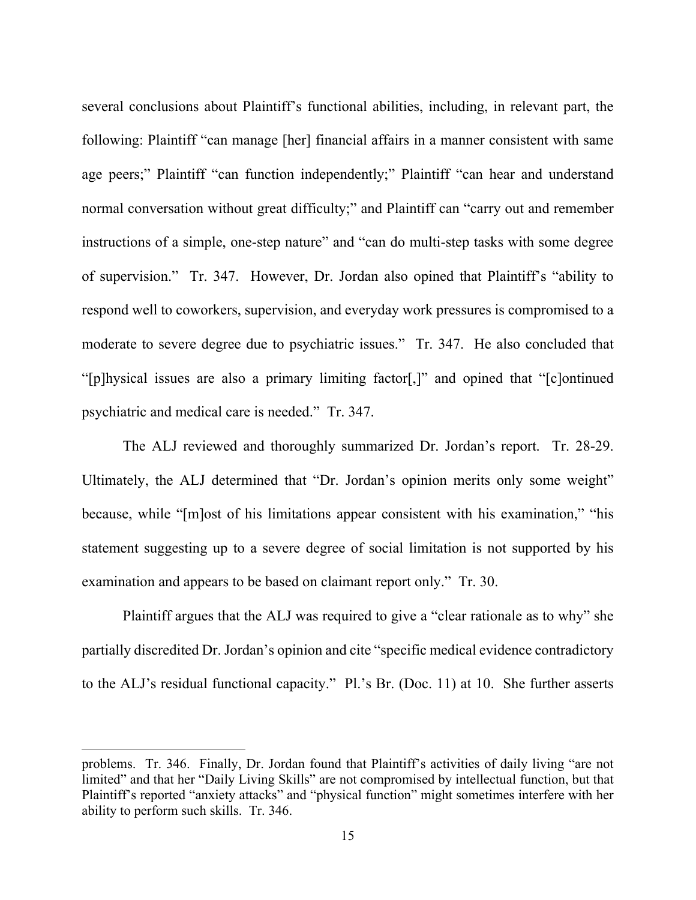several conclusions about Plaintiff's functional abilities, including, in relevant part, the following: Plaintiff "can manage [her] financial affairs in a manner consistent with same age peers;" Plaintiff "can function independently;" Plaintiff "can hear and understand normal conversation without great difficulty;" and Plaintiff can "carry out and remember instructions of a simple, one-step nature" and "can do multi-step tasks with some degree of supervision." Tr. 347. However, Dr. Jordan also opined that Plaintiff's "ability to respond well to coworkers, supervision, and everyday work pressures is compromised to a moderate to severe degree due to psychiatric issues." Tr. 347. He also concluded that "[p]hysical issues are also a primary limiting factor[,]" and opined that "[c]ontinued psychiatric and medical care is needed." Tr. 347.

 The ALJ reviewed and thoroughly summarized Dr. Jordan's report. Tr. 28-29. Ultimately, the ALJ determined that "Dr. Jordan's opinion merits only some weight" because, while "[m]ost of his limitations appear consistent with his examination," "his statement suggesting up to a severe degree of social limitation is not supported by his examination and appears to be based on claimant report only." Tr. 30.

 Plaintiff argues that the ALJ was required to give a "clear rationale as to why" she partially discredited Dr. Jordan's opinion and cite "specific medical evidence contradictory to the ALJ's residual functional capacity." Pl.'s Br. (Doc. 11) at 10. She further asserts

 $\overline{a}$ 

problems. Tr. 346. Finally, Dr. Jordan found that Plaintiff's activities of daily living "are not limited" and that her "Daily Living Skills" are not compromised by intellectual function, but that Plaintiff's reported "anxiety attacks" and "physical function" might sometimes interfere with her ability to perform such skills. Tr. 346.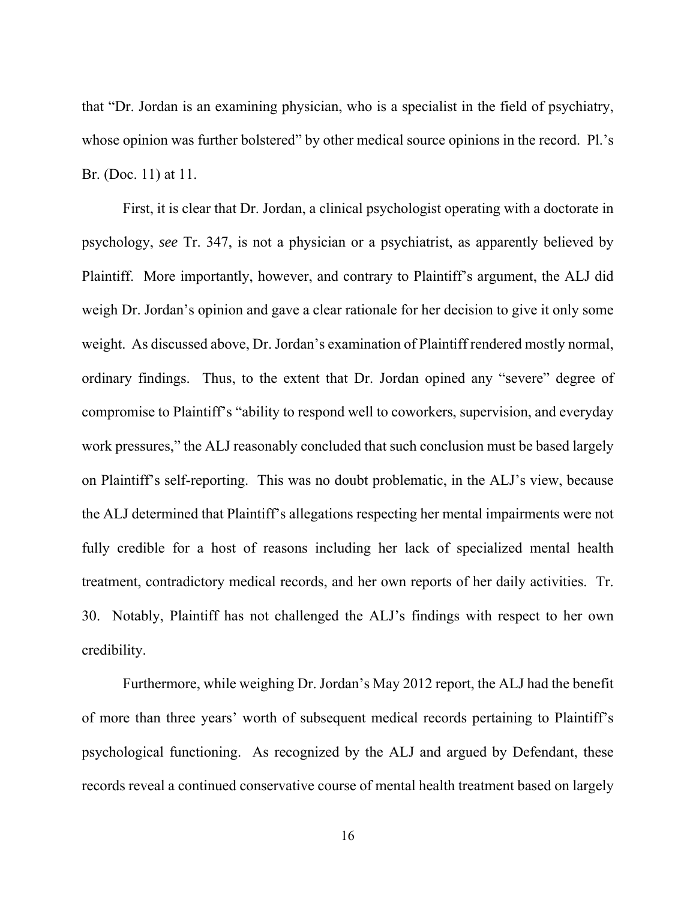that "Dr. Jordan is an examining physician, who is a specialist in the field of psychiatry, whose opinion was further bolstered" by other medical source opinions in the record. Pl.'s Br. (Doc. 11) at 11.

 First, it is clear that Dr. Jordan, a clinical psychologist operating with a doctorate in psychology, *see* Tr. 347, is not a physician or a psychiatrist, as apparently believed by Plaintiff. More importantly, however, and contrary to Plaintiff's argument, the ALJ did weigh Dr. Jordan's opinion and gave a clear rationale for her decision to give it only some weight. As discussed above, Dr. Jordan's examination of Plaintiff rendered mostly normal, ordinary findings. Thus, to the extent that Dr. Jordan opined any "severe" degree of compromise to Plaintiff's "ability to respond well to coworkers, supervision, and everyday work pressures," the ALJ reasonably concluded that such conclusion must be based largely on Plaintiff's self-reporting. This was no doubt problematic, in the ALJ's view, because the ALJ determined that Plaintiff's allegations respecting her mental impairments were not fully credible for a host of reasons including her lack of specialized mental health treatment, contradictory medical records, and her own reports of her daily activities. Tr. 30. Notably, Plaintiff has not challenged the ALJ's findings with respect to her own credibility.

 Furthermore, while weighing Dr. Jordan's May 2012 report, the ALJ had the benefit of more than three years' worth of subsequent medical records pertaining to Plaintiff's psychological functioning. As recognized by the ALJ and argued by Defendant, these records reveal a continued conservative course of mental health treatment based on largely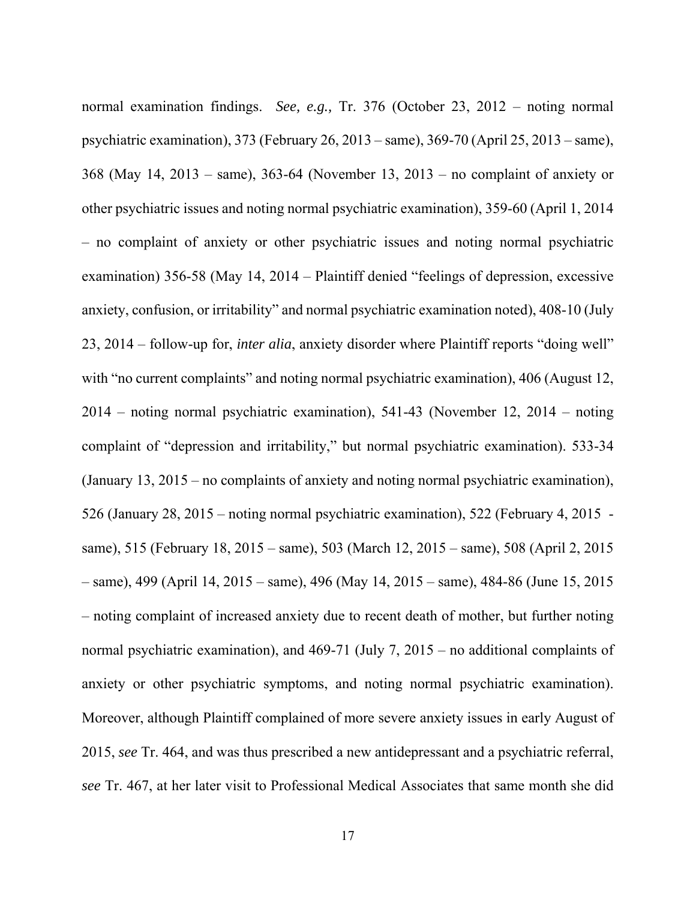normal examination findings. *See, e.g.,* Tr. 376 (October 23, 2012 – noting normal psychiatric examination), 373 (February 26, 2013 – same), 369-70 (April 25, 2013 – same), 368 (May 14, 2013 – same), 363-64 (November 13, 2013 – no complaint of anxiety or other psychiatric issues and noting normal psychiatric examination), 359-60 (April 1, 2014 – no complaint of anxiety or other psychiatric issues and noting normal psychiatric examination) 356-58 (May 14, 2014 – Plaintiff denied "feelings of depression, excessive anxiety, confusion, or irritability" and normal psychiatric examination noted), 408-10 (July 23, 2014 – follow-up for, *inter alia*, anxiety disorder where Plaintiff reports "doing well" with "no current complaints" and noting normal psychiatric examination), 406 (August 12, 2014 – noting normal psychiatric examination), 541-43 (November 12, 2014 – noting complaint of "depression and irritability," but normal psychiatric examination). 533-34 (January 13, 2015 – no complaints of anxiety and noting normal psychiatric examination), 526 (January 28, 2015 – noting normal psychiatric examination), 522 (February 4, 2015 same), 515 (February 18, 2015 – same), 503 (March 12, 2015 – same), 508 (April 2, 2015 – same), 499 (April 14, 2015 – same), 496 (May 14, 2015 – same), 484-86 (June 15, 2015 – noting complaint of increased anxiety due to recent death of mother, but further noting normal psychiatric examination), and 469-71 (July 7, 2015 – no additional complaints of anxiety or other psychiatric symptoms, and noting normal psychiatric examination). Moreover, although Plaintiff complained of more severe anxiety issues in early August of 2015, *see* Tr. 464, and was thus prescribed a new antidepressant and a psychiatric referral, *see* Tr. 467, at her later visit to Professional Medical Associates that same month she did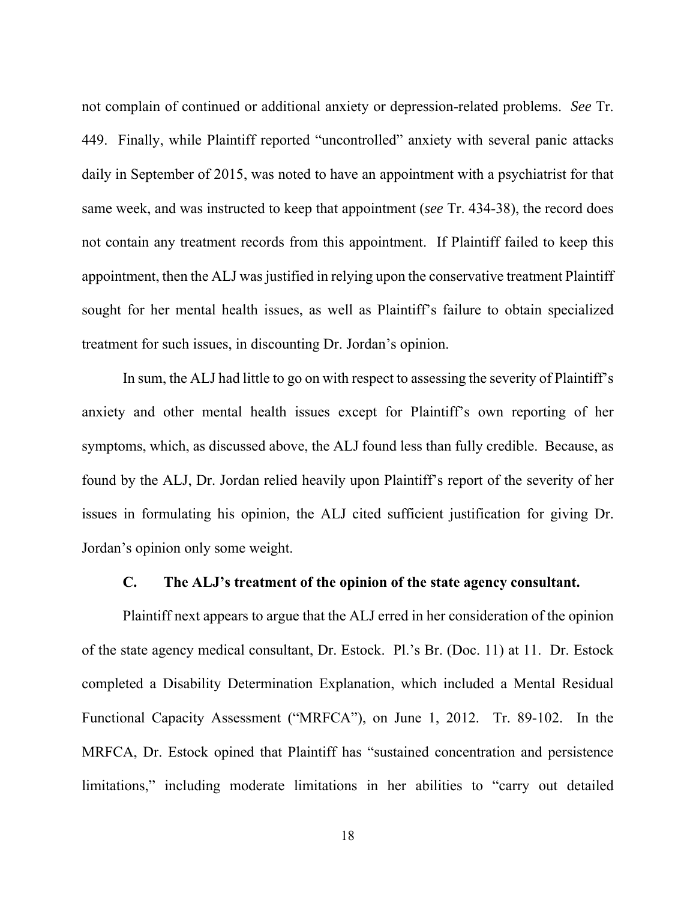not complain of continued or additional anxiety or depression-related problems. *See* Tr. 449. Finally, while Plaintiff reported "uncontrolled" anxiety with several panic attacks daily in September of 2015, was noted to have an appointment with a psychiatrist for that same week, and was instructed to keep that appointment (*see* Tr. 434-38), the record does not contain any treatment records from this appointment. If Plaintiff failed to keep this appointment, then the ALJ was justified in relying upon the conservative treatment Plaintiff sought for her mental health issues, as well as Plaintiff's failure to obtain specialized treatment for such issues, in discounting Dr. Jordan's opinion.

 In sum, the ALJ had little to go on with respect to assessing the severity of Plaintiff's anxiety and other mental health issues except for Plaintiff's own reporting of her symptoms, which, as discussed above, the ALJ found less than fully credible. Because, as found by the ALJ, Dr. Jordan relied heavily upon Plaintiff's report of the severity of her issues in formulating his opinion, the ALJ cited sufficient justification for giving Dr. Jordan's opinion only some weight.

#### **C. The ALJ's treatment of the opinion of the state agency consultant.**

 Plaintiff next appears to argue that the ALJ erred in her consideration of the opinion of the state agency medical consultant, Dr. Estock. Pl.'s Br. (Doc. 11) at 11. Dr. Estock completed a Disability Determination Explanation, which included a Mental Residual Functional Capacity Assessment ("MRFCA"), on June 1, 2012. Tr. 89-102. In the MRFCA, Dr. Estock opined that Plaintiff has "sustained concentration and persistence limitations," including moderate limitations in her abilities to "carry out detailed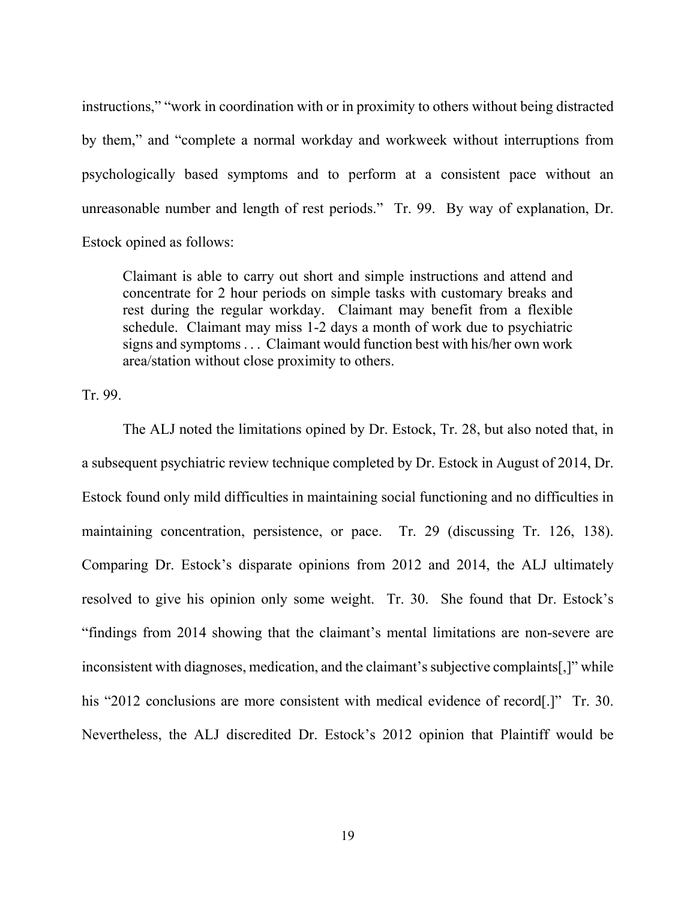instructions," "work in coordination with or in proximity to others without being distracted by them," and "complete a normal workday and workweek without interruptions from psychologically based symptoms and to perform at a consistent pace without an unreasonable number and length of rest periods." Tr. 99. By way of explanation, Dr. Estock opined as follows:

Claimant is able to carry out short and simple instructions and attend and concentrate for 2 hour periods on simple tasks with customary breaks and rest during the regular workday. Claimant may benefit from a flexible schedule. Claimant may miss 1-2 days a month of work due to psychiatric signs and symptoms . . . Claimant would function best with his/her own work area/station without close proximity to others.

Tr. 99.

 The ALJ noted the limitations opined by Dr. Estock, Tr. 28, but also noted that, in a subsequent psychiatric review technique completed by Dr. Estock in August of 2014, Dr. Estock found only mild difficulties in maintaining social functioning and no difficulties in maintaining concentration, persistence, or pace. Tr. 29 (discussing Tr. 126, 138). Comparing Dr. Estock's disparate opinions from 2012 and 2014, the ALJ ultimately resolved to give his opinion only some weight. Tr. 30. She found that Dr. Estock's "findings from 2014 showing that the claimant's mental limitations are non-severe are inconsistent with diagnoses, medication, and the claimant's subjective complaints[,]" while his "2012 conclusions are more consistent with medical evidence of record<sup>[1]</sup>. Tr. 30. Nevertheless, the ALJ discredited Dr. Estock's 2012 opinion that Plaintiff would be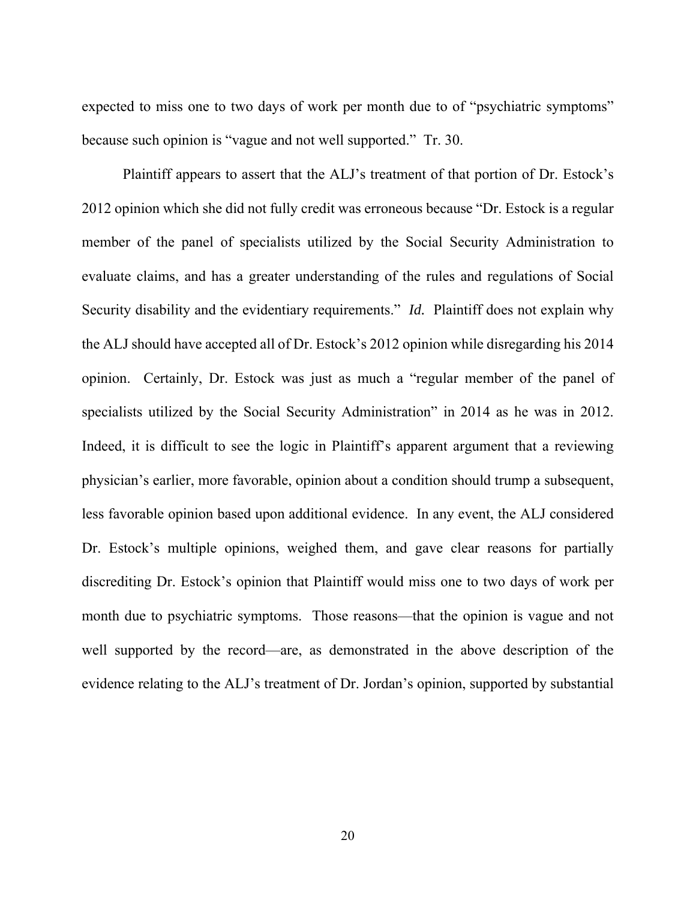expected to miss one to two days of work per month due to of "psychiatric symptoms" because such opinion is "vague and not well supported." Tr. 30.

Plaintiff appears to assert that the ALJ's treatment of that portion of Dr. Estock's 2012 opinion which she did not fully credit was erroneous because "Dr. Estock is a regular member of the panel of specialists utilized by the Social Security Administration to evaluate claims, and has a greater understanding of the rules and regulations of Social Security disability and the evidentiary requirements." *Id.* Plaintiff does not explain why the ALJ should have accepted all of Dr. Estock's 2012 opinion while disregarding his 2014 opinion. Certainly, Dr. Estock was just as much a "regular member of the panel of specialists utilized by the Social Security Administration" in 2014 as he was in 2012. Indeed, it is difficult to see the logic in Plaintiff's apparent argument that a reviewing physician's earlier, more favorable, opinion about a condition should trump a subsequent, less favorable opinion based upon additional evidence. In any event, the ALJ considered Dr. Estock's multiple opinions, weighed them, and gave clear reasons for partially discrediting Dr. Estock's opinion that Plaintiff would miss one to two days of work per month due to psychiatric symptoms. Those reasons—that the opinion is vague and not well supported by the record—are, as demonstrated in the above description of the evidence relating to the ALJ's treatment of Dr. Jordan's opinion, supported by substantial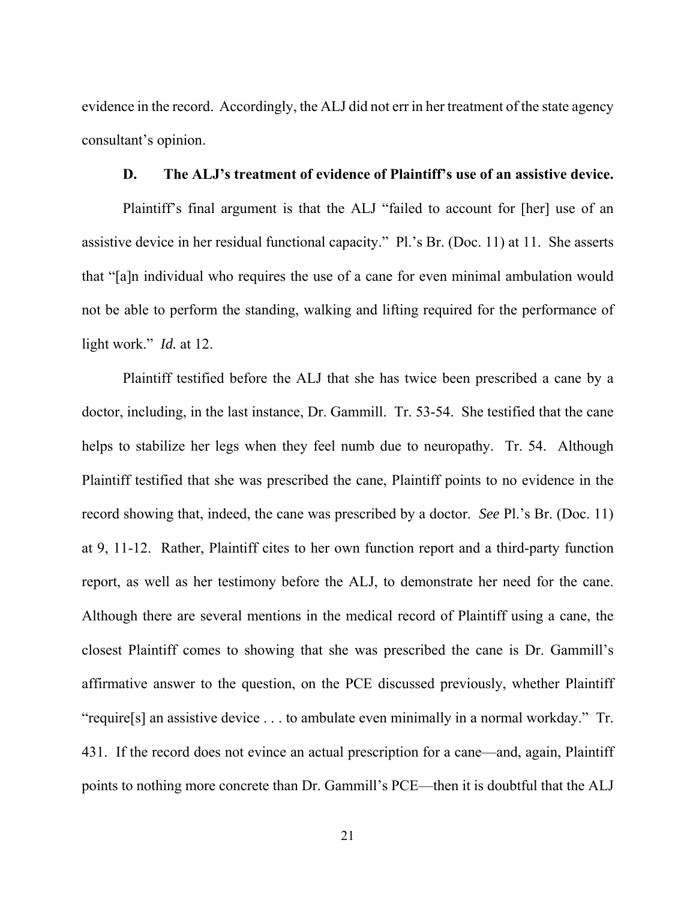evidence in the record. Accordingly, the ALJ did not err in her treatment of the state agency consultant's opinion.

#### **D. The ALJ's treatment of evidence of Plaintiff's use of an assistive device.**

Plaintiff's final argument is that the ALJ "failed to account for [her] use of an assistive device in her residual functional capacity." Pl.'s Br. (Doc. 11) at 11. She asserts that "[a]n individual who requires the use of a cane for even minimal ambulation would not be able to perform the standing, walking and lifting required for the performance of light work." *Id.* at 12.

Plaintiff testified before the ALJ that she has twice been prescribed a cane by a doctor, including, in the last instance, Dr. Gammill. Tr. 53-54. She testified that the cane helps to stabilize her legs when they feel numb due to neuropathy. Tr. 54. Although Plaintiff testified that she was prescribed the cane, Plaintiff points to no evidence in the record showing that, indeed, the cane was prescribed by a doctor. *See* Pl.'s Br. (Doc. 11) at 9, 11-12. Rather, Plaintiff cites to her own function report and a third-party function report, as well as her testimony before the ALJ, to demonstrate her need for the cane. Although there are several mentions in the medical record of Plaintiff using a cane, the closest Plaintiff comes to showing that she was prescribed the cane is Dr. Gammill's affirmative answer to the question, on the PCE discussed previously, whether Plaintiff "require[s] an assistive device . . . to ambulate even minimally in a normal workday." Tr. 431. If the record does not evince an actual prescription for a cane—and, again, Plaintiff points to nothing more concrete than Dr. Gammill's PCE—then it is doubtful that the ALJ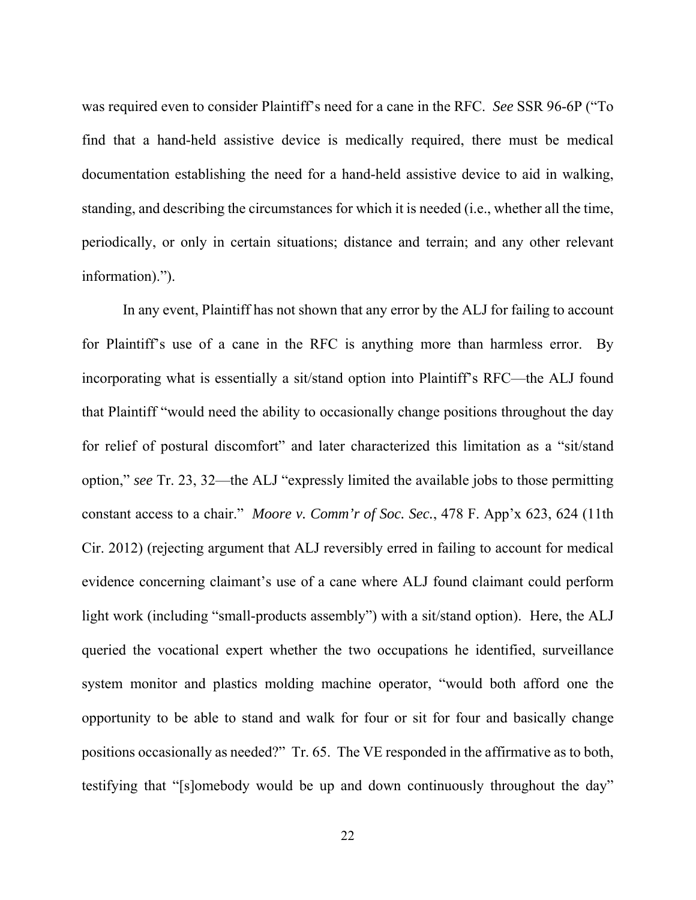was required even to consider Plaintiff's need for a cane in the RFC. *See* SSR 96-6P ("To find that a hand-held assistive device is medically required, there must be medical documentation establishing the need for a hand-held assistive device to aid in walking, standing, and describing the circumstances for which it is needed (i.e., whether all the time, periodically, or only in certain situations; distance and terrain; and any other relevant information).").

In any event, Plaintiff has not shown that any error by the ALJ for failing to account for Plaintiff's use of a cane in the RFC is anything more than harmless error. By incorporating what is essentially a sit/stand option into Plaintiff's RFC—the ALJ found that Plaintiff "would need the ability to occasionally change positions throughout the day for relief of postural discomfort" and later characterized this limitation as a "sit/stand option," *see* Tr. 23, 32—the ALJ "expressly limited the available jobs to those permitting constant access to a chair." *Moore v. Comm'r of Soc. Sec.*, 478 F. App'x 623, 624 (11th Cir. 2012) (rejecting argument that ALJ reversibly erred in failing to account for medical evidence concerning claimant's use of a cane where ALJ found claimant could perform light work (including "small-products assembly") with a sit/stand option). Here, the ALJ queried the vocational expert whether the two occupations he identified, surveillance system monitor and plastics molding machine operator, "would both afford one the opportunity to be able to stand and walk for four or sit for four and basically change positions occasionally as needed?" Tr. 65. The VE responded in the affirmative as to both, testifying that "[s]omebody would be up and down continuously throughout the day"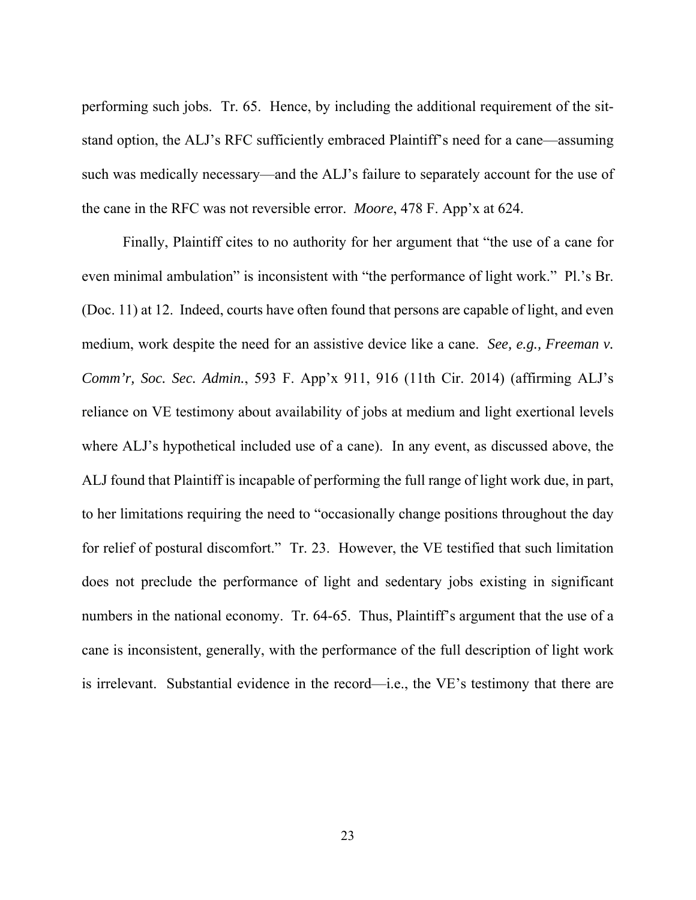performing such jobs. Tr. 65. Hence, by including the additional requirement of the sitstand option, the ALJ's RFC sufficiently embraced Plaintiff's need for a cane—assuming such was medically necessary—and the ALJ's failure to separately account for the use of the cane in the RFC was not reversible error. *Moore*, 478 F. App'x at 624.

Finally, Plaintiff cites to no authority for her argument that "the use of a cane for even minimal ambulation" is inconsistent with "the performance of light work." Pl.'s Br. (Doc. 11) at 12. Indeed, courts have often found that persons are capable of light, and even medium, work despite the need for an assistive device like a cane. *See, e.g., Freeman v. Comm'r, Soc. Sec. Admin.*, 593 F. App'x 911, 916 (11th Cir. 2014) (affirming ALJ's reliance on VE testimony about availability of jobs at medium and light exertional levels where ALJ's hypothetical included use of a cane). In any event, as discussed above, the ALJ found that Plaintiff is incapable of performing the full range of light work due, in part, to her limitations requiring the need to "occasionally change positions throughout the day for relief of postural discomfort." Tr. 23. However, the VE testified that such limitation does not preclude the performance of light and sedentary jobs existing in significant numbers in the national economy. Tr. 64-65. Thus, Plaintiff's argument that the use of a cane is inconsistent, generally, with the performance of the full description of light work is irrelevant. Substantial evidence in the record—i.e., the VE's testimony that there are